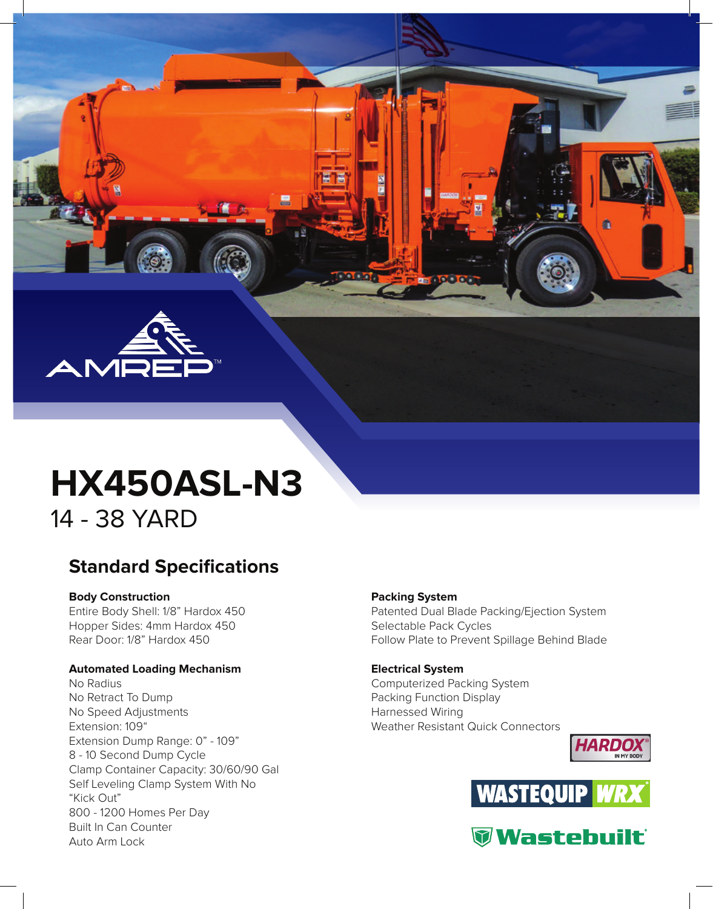

# **HX450ASL-N3 HX450ASL-N3**

14 - 38 YARD 14 - 38 YARD

## **Standard Specifications Standard Specifications**

## **Body Construction Body Construction**

Entire Body Shell: 1/8" Hardox 450 Entire Body Shell: 1/8" Hardox 450 Hopper Sides: 4mm Hardox 450 Hopper Sides: 4mm Hardox 450 Rear Door: 1/8" Hardox 450 Rear Door: 1/8" Hardox 450

## **Automated Loading Mechanism Automated Loading Mechanism**

No Radius No Radius No Retract To Dump No Retract To Dump No Speed Adjustments No Speed Adjustments Extension: 109" Extension: 109" Extension Dump Range: 0" - 109" Extension Dump Range: 0" - 109" 8 - 10 Second Dump Cycle 8 - 10 Second Dump Cycle Clamp Container Capacity: 30/60/90 Gal Clamp Container Capacity: 30/60/90 Gal Self Leveling Clamp System With No Self Leveling Clamp System With No "Kick Out" "Kick Out" 800 - 1200 Homes Per Day 800 - 1200 Homes Per Day Built In Can Counter Built In Can Counter Auto Arm Lock Auto Arm Lock

## **Packing System Packing System**

Patented Dual Blade Packing/Ejection System Patented Dual Blade Packing/Ejection System Selectable Pack Cycles Selectable Pack Cycles Follow Plate to Prevent Spillage Behind Blade Follow Plate to Prevent Spillage Behind Blade

## **Electrical System Electrical System** Computerized Packing System Computerized Packing System Packing Function Display Packing Function Display Harnessed Wiring Harnessed Wiring Weather Resistant Quick Connectors Weather Resistant Quick Connectors